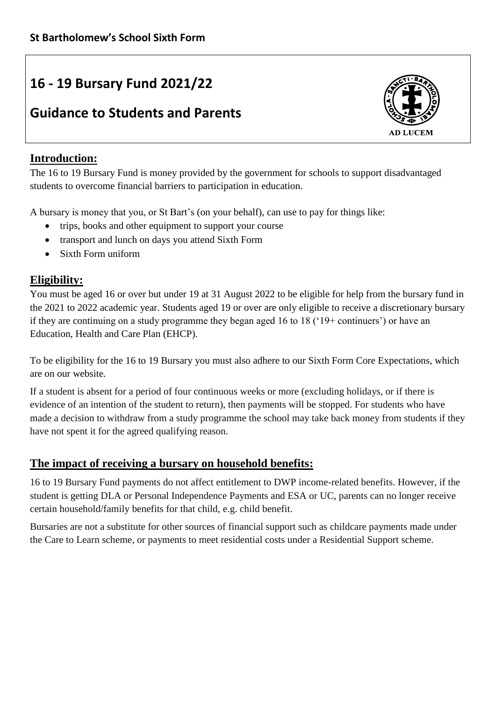# **16 - 19 Bursary Fund 2021/22**

## **Guidance to Students and Parents**



## **Introduction:**

The 16 to 19 Bursary Fund is money provided by the government for schools to support disadvantaged students to overcome financial barriers to participation in education.

A bursary is money that you, or St Bart's (on your behalf), can use to pay for things like:

- trips, books and other equipment to support your course
- transport and lunch on days you attend Sixth Form
- Sixth Form uniform

## **Eligibility:**

You must be aged 16 or over but under 19 at 31 August 2022 to be eligible for help from the bursary fund in the 2021 to 2022 academic year. Students aged 19 or over are only eligible to receive a discretionary bursary if they are continuing on a study programme they began aged 16 to 18 ('19+ continuers') or have an Education, Health and Care Plan (EHCP).

To be eligibility for the 16 to 19 Bursary you must also adhere to our Sixth Form Core Expectations, which are on our website.

If a student is absent for a period of four continuous weeks or more (excluding holidays, or if there is evidence of an intention of the student to return), then payments will be stopped. For students who have made a decision to withdraw from a study programme the school may take back money from students if they have not spent it for the agreed qualifying reason.

## **The impact of receiving a bursary on household benefits:**

16 to 19 Bursary Fund payments do not affect entitlement to DWP income-related benefits. However, if the student is getting DLA or Personal Independence Payments and ESA or UC, parents can no longer receive certain household/family benefits for that child, e.g. child benefit.

Bursaries are not a substitute for other sources of financial support such as childcare payments made under the Care to Learn scheme, or payments to meet residential costs under a Residential Support scheme.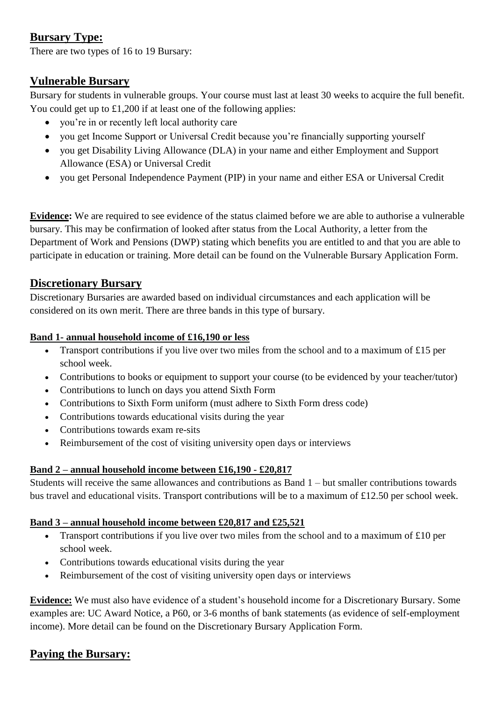## **Bursary Type:**

There are two types of 16 to 19 Bursary:

## **Vulnerable Bursary**

Bursary for students in vulnerable groups. Your course must last at least 30 weeks to acquire the full benefit. You could get up to £1,200 if at least one of the following applies:

- you're in or recently left local authority care
- you get Income Support or Universal Credit because you're financially supporting yourself
- you get Disability Living Allowance (DLA) in your name and either Employment and Support Allowance (ESA) or Universal Credit
- you get Personal Independence Payment (PIP) in your name and either ESA or Universal Credit

**Evidence:** We are required to see evidence of the status claimed before we are able to authorise a vulnerable bursary. This may be confirmation of looked after status from the Local Authority, a letter from the Department of Work and Pensions (DWP) stating which benefits you are entitled to and that you are able to participate in education or training. More detail can be found on the Vulnerable Bursary Application Form.

## **Discretionary Bursary**

Discretionary Bursaries are awarded based on individual circumstances and each application will be considered on its own merit. There are three bands in this type of bursary.

#### **Band 1- annual household income of £16,190 or less**

- Transport contributions if you live over two miles from the school and to a maximum of £15 per school week.
- Contributions to books or equipment to support your course (to be evidenced by your teacher/tutor)
- Contributions to lunch on days you attend Sixth Form
- Contributions to Sixth Form uniform (must adhere to Sixth Form dress code)
- Contributions towards educational visits during the year
- Contributions towards exam re-sits
- Reimbursement of the cost of visiting university open days or interviews

#### **Band 2 – annual household income between £16,190 - £20,817**

Students will receive the same allowances and contributions as Band 1 – but smaller contributions towards bus travel and educational visits. Transport contributions will be to a maximum of £12.50 per school week.

#### **Band 3 – annual household income between £20,817 and £25,521**

- Transport contributions if you live over two miles from the school and to a maximum of  $\text{\pounds}10$  per school week.
- Contributions towards educational visits during the year
- Reimbursement of the cost of visiting university open days or interviews

**Evidence:** We must also have evidence of a student's household income for a Discretionary Bursary. Some examples are: UC Award Notice, a P60, or 3-6 months of bank statements (as evidence of self-employment income). More detail can be found on the Discretionary Bursary Application Form.

## **Paying the Bursary:**